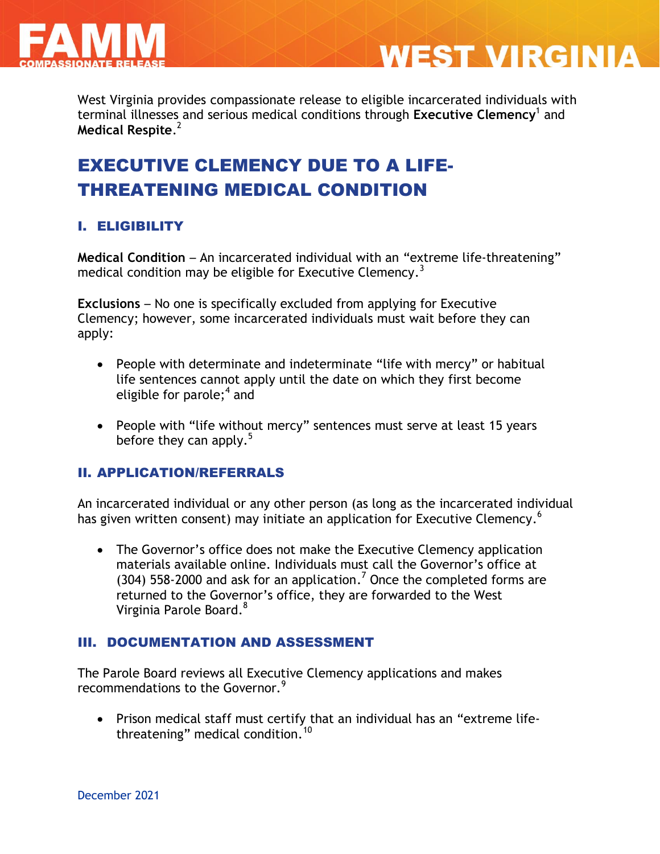

West Virginia provides compassionate release to eligible incarcerated individuals with terminal illnesses and serious medical conditions through **Executive Clemency**<sup>1</sup> and **Medical Respite**. 2

**WEST VIRGINIA** 

# EXECUTIVE CLEMENCY DUE TO A LIFE-THREATENING MEDICAL CONDITION

### I. ELIGIBILITY

**Medical Condition** – An incarcerated individual with an "extreme life-threatening" medical condition may be eligible for Executive Clemency. $^3$ 

**Exclusions** – No one is specifically excluded from applying for Executive Clemency; however, some incarcerated individuals must wait before they can apply:

- People with determinate and indeterminate "life with mercy" or habitual life sentences cannot apply until the date on which they first become eligible for parole;<sup>4</sup> and
- People with "life without mercy" sentences must serve at least 15 years before they can apply. $5$

#### II. APPLICATION/REFERRALS

An incarcerated individual or any other person (as long as the incarcerated individual has given written consent) may initiate an application for Executive Clemency.<sup>6</sup>

• The Governor's office does not make the Executive Clemency application materials available online. Individuals must call the Governor's office at (304) 558-2000 and ask for an application.<sup>7</sup> Once the completed forms are returned to the Governor's office, they are forwarded to the West Virginia Parole Board.<sup>8</sup>

#### III. DOCUMENTATION AND ASSESSMENT

The Parole Board reviews all Executive Clemency applications and makes recommendations to the Governor.<sup>9</sup>

 Prison medical staff must certify that an individual has an "extreme lifethreatening" medical condition.<sup>10</sup>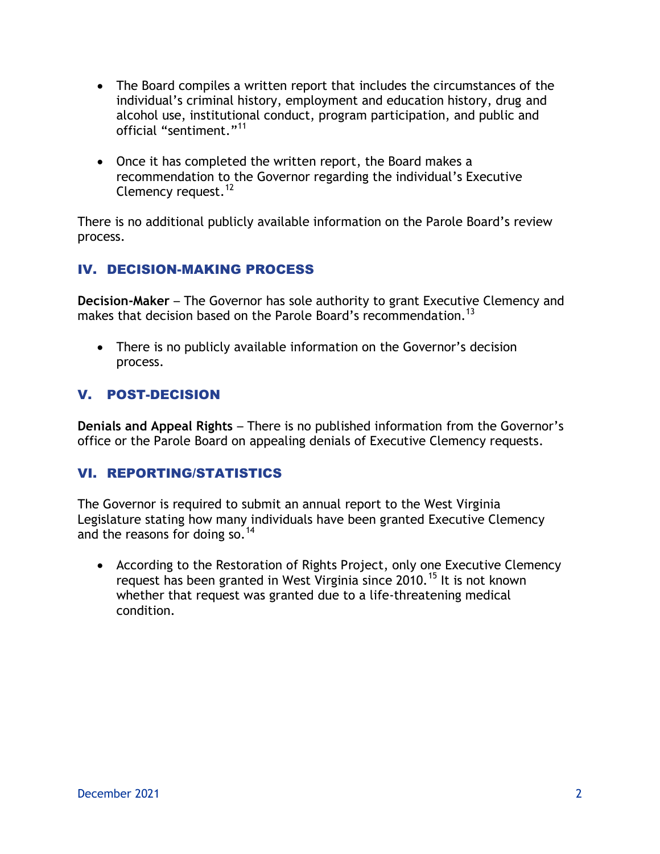- The Board compiles a written report that includes the circumstances of the individual's criminal history, employment and education history, drug and alcohol use, institutional conduct, program participation, and public and official "sentiment."<sup>11</sup>
- Once it has completed the written report, the Board makes a recommendation to the Governor regarding the individual's Executive Clemency request.<sup>12</sup>

There is no additional publicly available information on the Parole Board's review process.

### IV. DECISION-MAKING PROCESS

**Decision-Maker** – The Governor has sole authority to grant Executive Clemency and makes that decision based on the Parole Board's recommendation.<sup>13</sup>

 There is no publicly available information on the Governor's decision process.

### V. POST-DECISION

**Denials and Appeal Rights** – There is no published information from the Governor's office or the Parole Board on appealing denials of Executive Clemency requests.

#### VI. REPORTING/STATISTICS

The Governor is required to submit an annual report to the West Virginia Legislature stating how many individuals have been granted Executive Clemency and the reasons for doing so.  $14$ 

 According to the Restoration of Rights Project, only one Executive Clemency request has been granted in West Virginia since 2010.<sup>15</sup> It is not known whether that request was granted due to a life-threatening medical condition.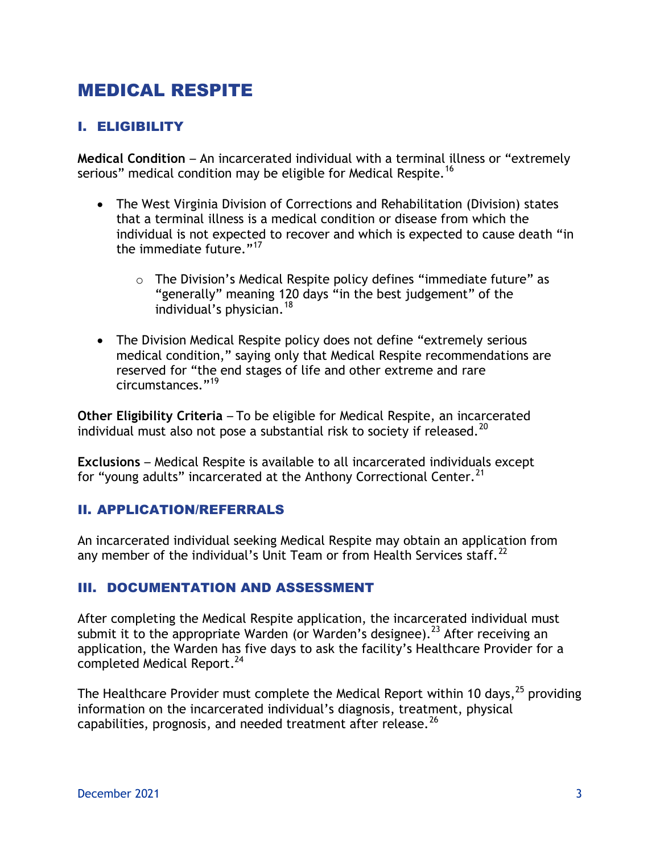# MEDICAL RESPITE

## I. ELIGIBILITY

**Medical Condition** – An incarcerated individual with a terminal illness or "extremely serious" medical condition may be eligible for Medical Respite.<sup>16</sup>

- The West Virginia Division of Corrections and Rehabilitation (Division) states that a terminal illness is a medical condition or disease from which the individual is not expected to recover and which is expected to cause death "in the immediate future."<sup>17</sup>
	- o The Division's Medical Respite policy defines "immediate future" as "generally" meaning 120 days "in the best judgement" of the individual's physician.<sup>18</sup>
- The Division Medical Respite policy does not define "extremely serious medical condition," saying only that Medical Respite recommendations are reserved for "the end stages of life and other extreme and rare circumstances."<sup>19</sup>

**Other Eligibility Criteria** – To be eligible for Medical Respite, an incarcerated individual must also not pose a substantial risk to society if released.<sup>20</sup>

**Exclusions** – Medical Respite is available to all incarcerated individuals except for "young adults" incarcerated at the Anthony Correctional Center.<sup>21</sup>

#### II. APPLICATION/REFERRALS

An incarcerated individual seeking Medical Respite may obtain an application from any member of the individual's Unit Team or from Health Services staff.<sup>22</sup>

#### III. DOCUMENTATION AND ASSESSMENT

After completing the Medical Respite application, the incarcerated individual must submit it to the appropriate Warden (or Warden's designee).<sup>23</sup> After receiving an application, the Warden has five days to ask the facility's Healthcare Provider for a completed Medical Report.<sup>24</sup>

The Healthcare Provider must complete the Medical Report within 10 days,<sup>25</sup> providing information on the incarcerated individual's diagnosis, treatment, physical capabilities, prognosis, and needed treatment after release.<sup>26</sup>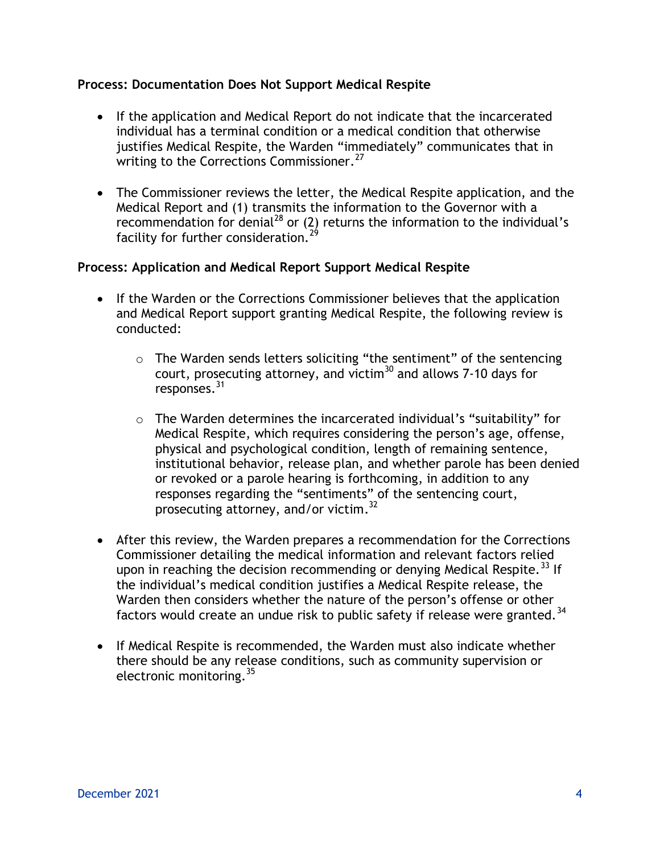#### **Process: Documentation Does Not Support Medical Respite**

- If the application and Medical Report do not indicate that the incarcerated individual has a terminal condition or a medical condition that otherwise justifies Medical Respite, the Warden "immediately" communicates that in writing to the Corrections Commissioner.<sup>27</sup>
- The Commissioner reviews the letter, the Medical Respite application, and the Medical Report and (1) transmits the information to the Governor with a recommendation for denial<sup>28</sup> or (2) returns the information to the individual's facility for further consideration.<sup>29</sup>

#### **Process: Application and Medical Report Support Medical Respite**

- If the Warden or the Corrections Commissioner believes that the application and Medical Report support granting Medical Respite, the following review is conducted:
	- o The Warden sends letters soliciting "the sentiment" of the sentencing court, prosecuting attorney, and victim $30$  and allows 7-10 days for responses.<sup>31</sup>
	- o The Warden determines the incarcerated individual's "suitability" for Medical Respite, which requires considering the person's age, offense, physical and psychological condition, length of remaining sentence, institutional behavior, release plan, and whether parole has been denied or revoked or a parole hearing is forthcoming, in addition to any responses regarding the "sentiments" of the sentencing court, prosecuting attorney, and/or victim.<sup>32</sup>
- After this review, the Warden prepares a recommendation for the Corrections Commissioner detailing the medical information and relevant factors relied upon in reaching the decision recommending or denying Medical Respite.<sup>33</sup> If the individual's medical condition justifies a Medical Respite release, the Warden then considers whether the nature of the person's offense or other factors would create an undue risk to public safety if release were granted.<sup>34</sup>
- If Medical Respite is recommended, the Warden must also indicate whether there should be any release conditions, such as community supervision or electronic monitoring.<sup>35</sup>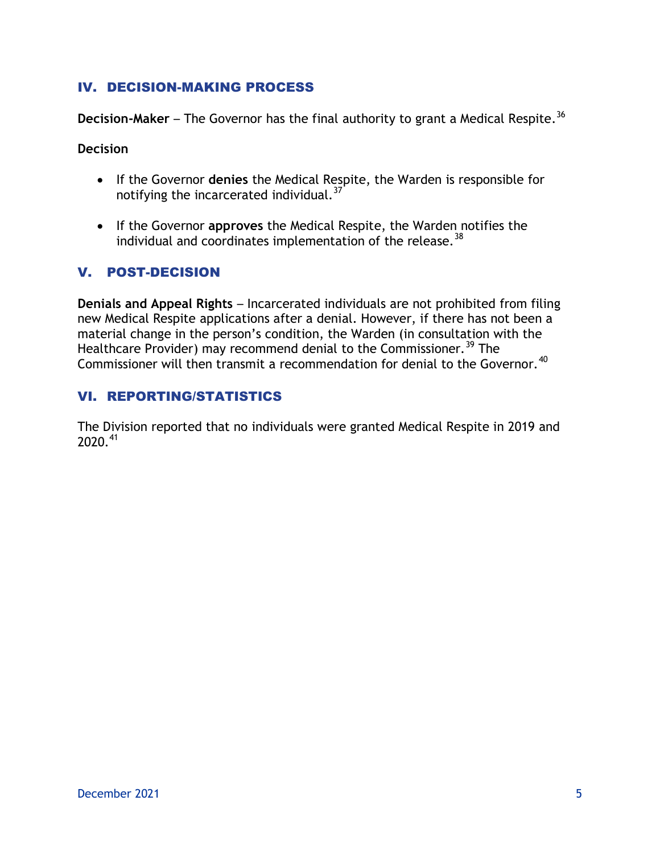#### IV. DECISION-MAKING PROCESS

**Decision-Maker** – The Governor has the final authority to grant a Medical Respite.<sup>36</sup>

**Decision** 

- If the Governor **denies** the Medical Respite, the Warden is responsible for notifying the incarcerated individual.<sup>37</sup>
- If the Governor **approves** the Medical Respite, the Warden notifies the individual and coordinates implementation of the release.  $38$

### V. POST-DECISION

**Denials and Appeal Rights** – Incarcerated individuals are not prohibited from filing new Medical Respite applications after a denial. However, if there has not been a material change in the person's condition, the Warden (in consultation with the Healthcare Provider) may recommend denial to the Commissioner.<sup>39</sup> The Commissioner will then transmit a recommendation for denial to the Governor.<sup>40</sup>

#### VI. REPORTING/STATISTICS

The Division reported that no individuals were granted Medical Respite in 2019 and 2020.<sup>41</sup>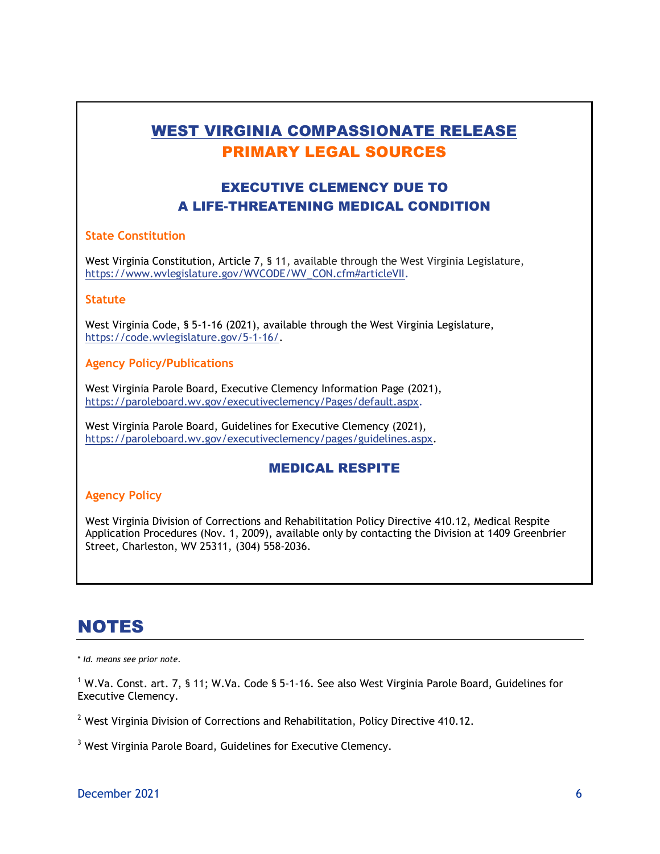## WEST VIRGINIA COMPASSIONATE RELEASE PRIMARY LEGAL SOURCES

## EXECUTIVE CLEMENCY DUE TO A LIFE-THREATENING MEDICAL CONDITION

#### **State Constitution**

West Virginia Constitution, Article 7, § 11, available through the West Virginia Legislature, [https://www.wvlegislature.gov/WVCODE/WV\\_CON.cfm#articleVII.](https://www.wvlegislature.gov/WVCODE/WV_CON.cfm#articleVII)

#### **Statute**

West Virginia Code, § 5-1-16 (2021), available through the West Virginia Legislature, [https://code.wvlegislature.gov/5-1-16/.](https://code.wvlegislature.gov/5-1-16/)

#### **Agency Policy/Publications**

West Virginia Parole Board, Executive Clemency Information Page (2021)*,*  https://paroleboard.wv.gov/executiveclemency/Pages/default.aspx.

West Virginia Parole Board, Guidelines for Executive Clemency (2021), [https://paroleboard.wv.gov/executiveclemency/pages/guidelines.aspx.](https://paroleboard.wv.gov/executiveclemency/pages/guidelines.aspx)

#### MEDICAL RESPITE

#### **Agency Policy**

West Virginia Division of Corrections and Rehabilitation Policy Directive 410.12, Medical Respite Application Procedures (Nov. 1, 2009), available only by contacting the Division at 1409 Greenbrier Street, Charleston, WV 25311, (304) 558-2036.

## NOTES

\* *Id. means see prior note.*

<sup>1</sup> W.Va. Const. art. 7, § 11; W.Va. Code § 5-1-16. See also West Virginia Parole Board, Guidelines for Executive Clemency.

 $2$  West Virginia Division of Corrections and Rehabilitation, Policy Directive 410.12.

<sup>3</sup> West Virginia Parole Board, Guidelines for Executive Clemency.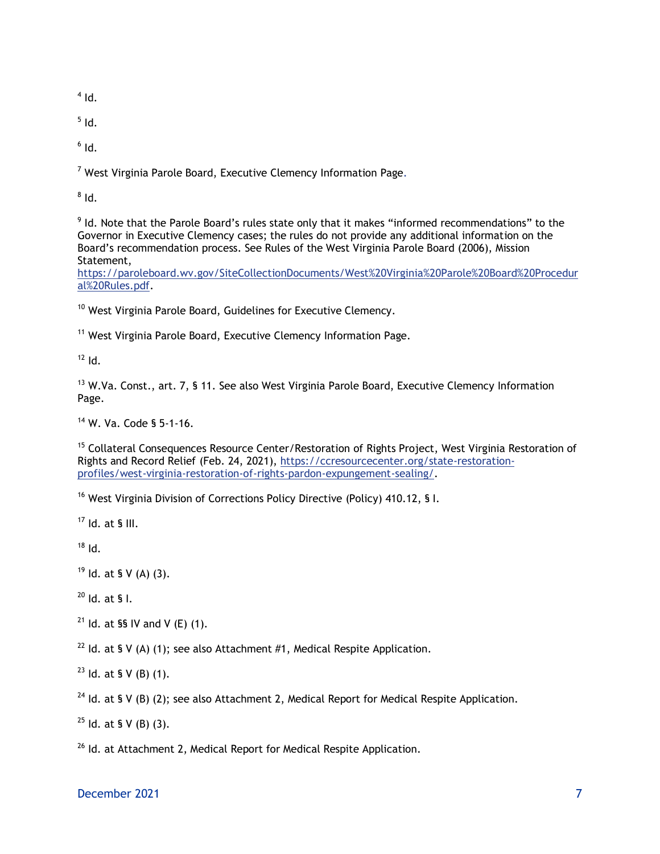$<sup>4</sup>$  Id.</sup>

 $^5$  Id.

 $^6$  Id.

 $7$  West Virginia Parole Board, Executive Clemency Information Page.

 $^8$  Id.

 $9$  Id. Note that the Parole Board's rules state only that it makes "informed recommendations" to the Governor in Executive Clemency cases; the rules do not provide any additional information on the Board's recommendation process. See Rules of the West Virginia Parole Board (2006), Mission Statement,

[https://paroleboard.wv.gov/SiteCollectionDocuments/West%20Virginia%20Parole%20Board%20Procedur](https://paroleboard.wv.gov/SiteCollectionDocuments/West%20Virginia%20Parole%20Board%20Procedural%20Rules.pdf) [al%20Rules.pdf.](https://paroleboard.wv.gov/SiteCollectionDocuments/West%20Virginia%20Parole%20Board%20Procedural%20Rules.pdf)

<sup>10</sup> West Virginia Parole Board, Guidelines for Executive Clemency.

<sup>11</sup> West Virginia Parole Board, Executive Clemency Information Page.

 $12$  Id.

<sup>13</sup> W.Va. Const., art. 7, § 11. See also West Virginia Parole Board, Executive Clemency Information Page.

<sup>14</sup> W. Va. Code § 5-1-16.

<sup>15</sup> Collateral Consequences Resource Center/Restoration of Rights Project, West Virginia Restoration of Rights and Record Relief (Feb. 24, 2021), [https://ccresourcecenter.org/state-restoration](https://ccresourcecenter.org/state-restoration-profiles/west-virginia-restoration-of-rights-pardon-expungement-sealing/)[profiles/west-virginia-restoration-of-rights-pardon-expungement-sealing/.](https://ccresourcecenter.org/state-restoration-profiles/west-virginia-restoration-of-rights-pardon-expungement-sealing/)

<sup>16</sup> West Virginia Division of Corrections Policy Directive (Policy) 410.12, § I.

 $17$  Id. at § III.

 $18$  Id.

 $19$  Id. at § V (A) (3).

 $^{20}$  Id. at § I.

<sup>21</sup> Id. at §§ IV and V (E) (1).

<sup>22</sup> Id. at § V (A) (1); see also Attachment #1, Medical Respite Application.

 $23$  Id. at § V (B) (1).

<sup>24</sup> Id. at § V (B) (2); see also Attachment 2, Medical Report for Medical Respite Application.

 $25$  Id. at § V (B) (3).

<sup>26</sup> Id. at Attachment 2, Medical Report for Medical Respite Application.